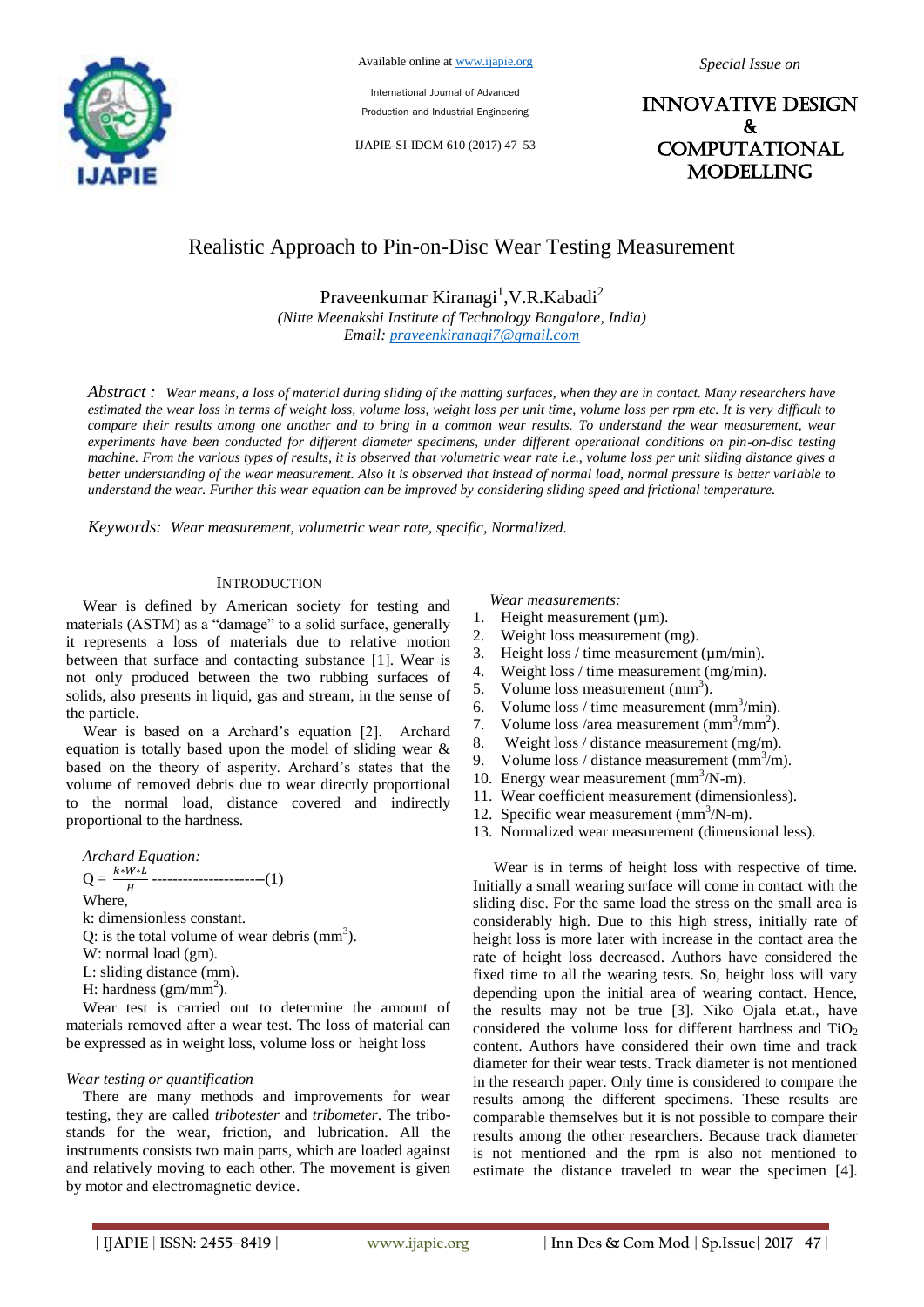

International Journal of Advanced Production and Industrial Engineering

IJAPIE-SI-IDCM 610 (2017) 47–53

INNOVATIVE DESIGN & **COMPUTATIONAL** MODELLING

# Realistic Approach to Pin-on-Disc Wear Testing Measurement

Praveenkumar Kiranagi<sup>1</sup>, V.R. Kabadi<sup>2</sup>

*(Nitte Meenakshi Institute of Technology Bangalore, India) Email: praveenkiranagi7@gmail.com*

*Abstract : Wear means, a loss of material during sliding of the matting surfaces, when they are in contact. Many researchers have estimated the wear loss in terms of weight loss, volume loss, weight loss per unit time, volume loss per rpm etc. It is very difficult to compare their results among one another and to bring in a common wear results. To understand the wear measurement, wear experiments have been conducted for different diameter specimens, under different operational conditions on pin-on-disc testing machine. From the various types of results, it is observed that volumetric wear rate i.e., volume loss per unit sliding distance gives a better understanding of the wear measurement. Also it is observed that instead of normal load, normal pressure is better variable to understand the wear. Further this wear equation can be improved by considering sliding speed and frictional temperature.*

*Keywords: Wear measurement, volumetric wear rate, specific, Normalized.*

#### **INTRODUCTION**

Wear is defined by American society for testing and materials (ASTM) as a "damage" to a solid surface, generally it represents a loss of materials due to relative motion between that surface and contacting substance [1]. Wear is not only produced between the two rubbing surfaces of solids, also presents in liquid, gas and stream, in the sense of the particle.

Wear is based on a Archard"s equation [2]. Archard equation is totally based upon the model of sliding wear & based on the theory of asperity. Archard"s states that the volume of removed debris due to wear directly proportional to the normal load, distance covered and indirectly proportional to the hardness.

*Archard Equation:*   $Q = \frac{k \cdot W \cdot L}{H}$  -----------------------(1) Where, k: dimensionless constant. Q: is the total volume of wear debris  $\text{(mm)}^3$ ).

- W: normal load (gm).
- L: sliding distance (mm).
- H: hardness  $(gm/mm^2)$ .

Wear test is carried out to determine the amount of materials removed after a wear test. The loss of material can be expressed as in weight loss, volume loss or height loss

#### *Wear testing or quantification*

There are many methods and improvements for wear testing, they are called *tribotester* and *tribometer*. The tribostands for the wear, friction, and lubrication. All the instruments consists two main parts, which are loaded against and relatively moving to each other. The movement is given by motor and electromagnetic device.

*Wear measurements:*

- 1. Height measurement  $(\mu m)$ .
- 2. Weight loss measurement (mg).
- 3. Height loss / time measurement ( $\mu$ m/min).
- 4. Weight loss / time measurement (mg/min).
- 5. Volume loss measurement  $\text{(mm}^3)$ .
- 6. Volume loss / time measurement  $\text{(mm}^3\text{/min)}$ .
- 7. Volume loss / area measurement  $\text{(mm}^3/\text{mm}^2)$ .
- 8. Weight loss / distance measurement (mg/m).
- 9. Volume loss / distance measurement  $\text{(mm}^3/\text{m})$ .
- 10. Energy wear measurement (mm<sup>3</sup>/N-m).
- 11. Wear coefficient measurement (dimensionless).
- 12. Specific wear measurement (mm<sup>3</sup>/N-m).
- 13. Normalized wear measurement (dimensional less).

Wear is in terms of height loss with respective of time. Initially a small wearing surface will come in contact with the sliding disc. For the same load the stress on the small area is considerably high. Due to this high stress, initially rate of height loss is more later with increase in the contact area the rate of height loss decreased. Authors have considered the fixed time to all the wearing tests. So, height loss will vary depending upon the initial area of wearing contact. Hence, the results may not be true [3]. Niko Ojala et.at., have considered the volume loss for different hardness and  $TiO<sub>2</sub>$ content. Authors have considered their own time and track diameter for their wear tests. Track diameter is not mentioned in the research paper. Only time is considered to compare the results among the different specimens. These results are comparable themselves but it is not possible to compare their results among the other researchers. Because track diameter is not mentioned and the rpm is also not mentioned to estimate the distance traveled to wear the specimen [4].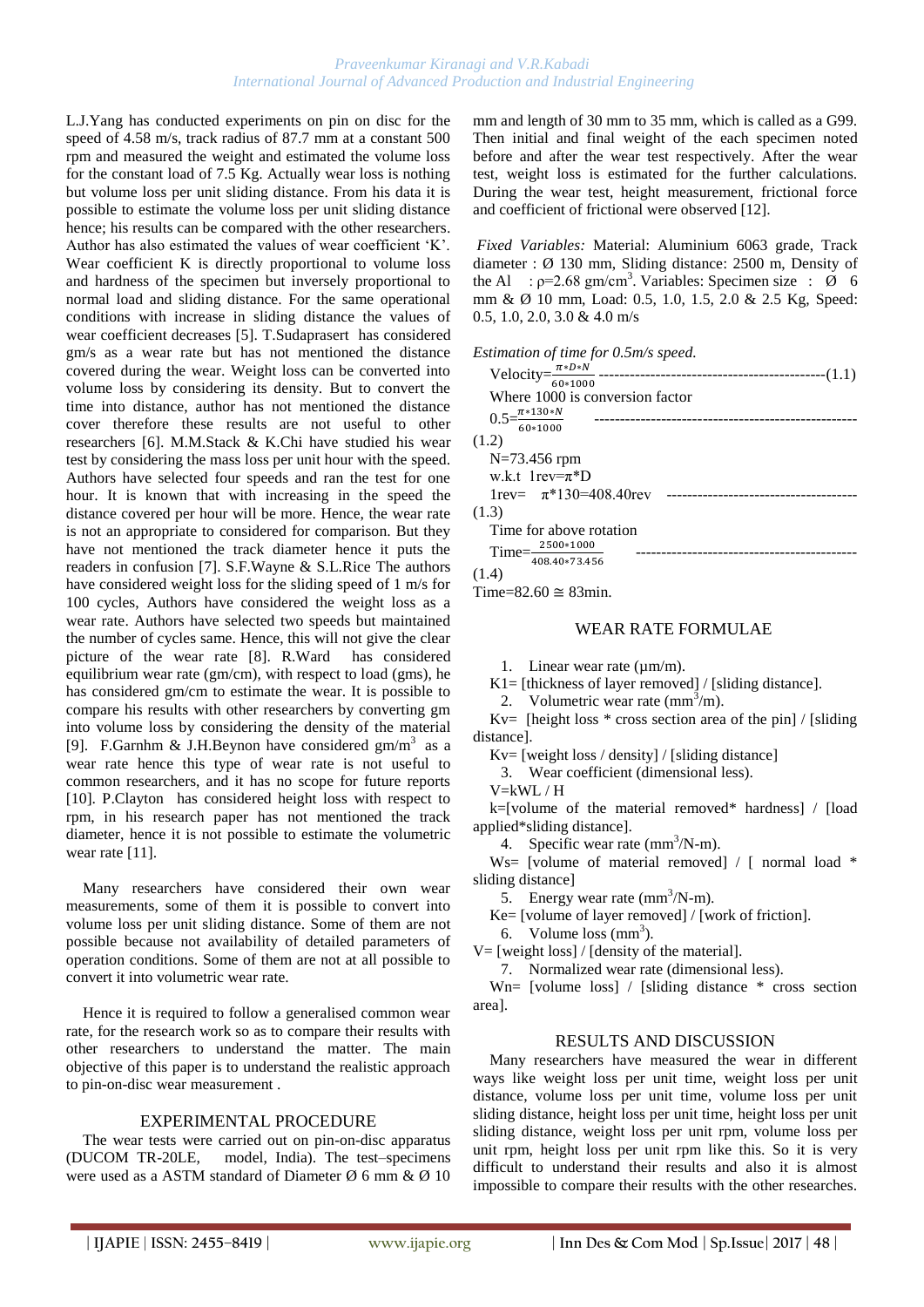L.J.Yang has conducted experiments on pin on disc for the speed of 4.58 m/s, track radius of 87.7 mm at a constant 500 rpm and measured the weight and estimated the volume loss for the constant load of 7.5 Kg. Actually wear loss is nothing but volume loss per unit sliding distance. From his data it is possible to estimate the volume loss per unit sliding distance hence; his results can be compared with the other researchers. Author has also estimated the values of wear coefficient "K". Wear coefficient K is directly proportional to volume loss and hardness of the specimen but inversely proportional to normal load and sliding distance. For the same operational conditions with increase in sliding distance the values of wear coefficient decreases [5]. T.Sudaprasert has considered gm/s as a wear rate but has not mentioned the distance covered during the wear. Weight loss can be converted into volume loss by considering its density. But to convert the time into distance, author has not mentioned the distance cover therefore these results are not useful to other researchers [6]. M.M.Stack & K.Chi have studied his wear test by considering the mass loss per unit hour with the speed. Authors have selected four speeds and ran the test for one hour. It is known that with increasing in the speed the distance covered per hour will be more. Hence, the wear rate is not an appropriate to considered for comparison. But they have not mentioned the track diameter hence it puts the readers in confusion [7]. S.F.Wayne & S.L.Rice The authors have considered weight loss for the sliding speed of 1 m/s for 100 cycles, Authors have considered the weight loss as a wear rate. Authors have selected two speeds but maintained the number of cycles same. Hence, this will not give the clear picture of the wear rate [8]. R.Ward has considered equilibrium wear rate (gm/cm), with respect to load (gms), he has considered gm/cm to estimate the wear. It is possible to compare his results with other researchers by converting gm into volume loss by considering the density of the material [9]. F.Garnhm & J.H.Beynon have considered  $gm/m<sup>3</sup>$  as a wear rate hence this type of wear rate is not useful to common researchers, and it has no scope for future reports [10]. P.Clayton has considered height loss with respect to rpm, in his research paper has not mentioned the track diameter, hence it is not possible to estimate the volumetric wear rate [11].

Many researchers have considered their own wear measurements, some of them it is possible to convert into volume loss per unit sliding distance. Some of them are not possible because not availability of detailed parameters of operation conditions. Some of them are not at all possible to convert it into volumetric wear rate.

Hence it is required to follow a generalised common wear rate, for the research work so as to compare their results with other researchers to understand the matter. The main objective of this paper is to understand the realistic approach to pin-on-disc wear measurement .

## EXPERIMENTAL PROCEDURE

The wear tests were carried out on pin-on-disc apparatus (DUCOM TR-20LE, model, India). The test–specimens were used as a ASTM standard of Diameter  $\emptyset$  6 mm &  $\emptyset$  10

mm and length of 30 mm to 35 mm, which is called as a G99. Then initial and final weight of the each specimen noted before and after the wear test respectively. After the wear test, weight loss is estimated for the further calculations. During the wear test, height measurement, frictional force and coefficient of frictional were observed [12].

*Fixed Variables:* Material: Aluminium 6063 grade, Track diameter : Ø 130 mm, Sliding distance: 2500 m, Density of the Al :  $p=2.68$  gm/cm<sup>3</sup>. Variables: Specimen size :  $\dot{\emptyset}$  6 mm & Ø 10 mm, Load: 0.5, 1.0, 1.5, 2.0 & 2.5 Kg, Speed: 0.5, 1.0, 2.0, 3.0 & 4.0 m/s

#### *Estimation of time for 0.5m/s speed.*

Time= $82.60 \approx 83$ min.

# WEAR RATE FORMULAE

1. Linear wear rate (µm/m).

 $K1 =$  [thickness of layer removed] / [sliding distance].

2. Volumetric wear rate  $\text{(mm}^3/\text{m})$ .

 $Kv=$  [height loss  $*$  cross section area of the pin] / [sliding] distance].

Kv= [weight loss / density] / [sliding distance]

3. Wear coefficient (dimensional less).

V=kWL / H

k=[volume of the material removed\* hardness] / [load applied\*sliding distance].

4. Specific wear rate  $\text{(mm}^3/\text{N-m})$ .

W<sub>S</sub> [volume of material removed] / [ normal load  $*$ sliding distance]

5. Energy wear rate  $\text{(mm}^3/\text{N-m})$ .

Ke= [volume of layer removed] / [work of friction].

6. Volume  $\cos{(mm^3)}$ .

 $V =$  [weight loss] / [density of the material].

7. Normalized wear rate (dimensional less).

Wn= [volume loss] / [sliding distance \* cross section area].

#### RESULTS AND DISCUSSION

Many researchers have measured the wear in different ways like weight loss per unit time, weight loss per unit distance, volume loss per unit time, volume loss per unit sliding distance, height loss per unit time, height loss per unit sliding distance, weight loss per unit rpm, volume loss per unit rpm, height loss per unit rpm like this. So it is very difficult to understand their results and also it is almost impossible to compare their results with the other researches.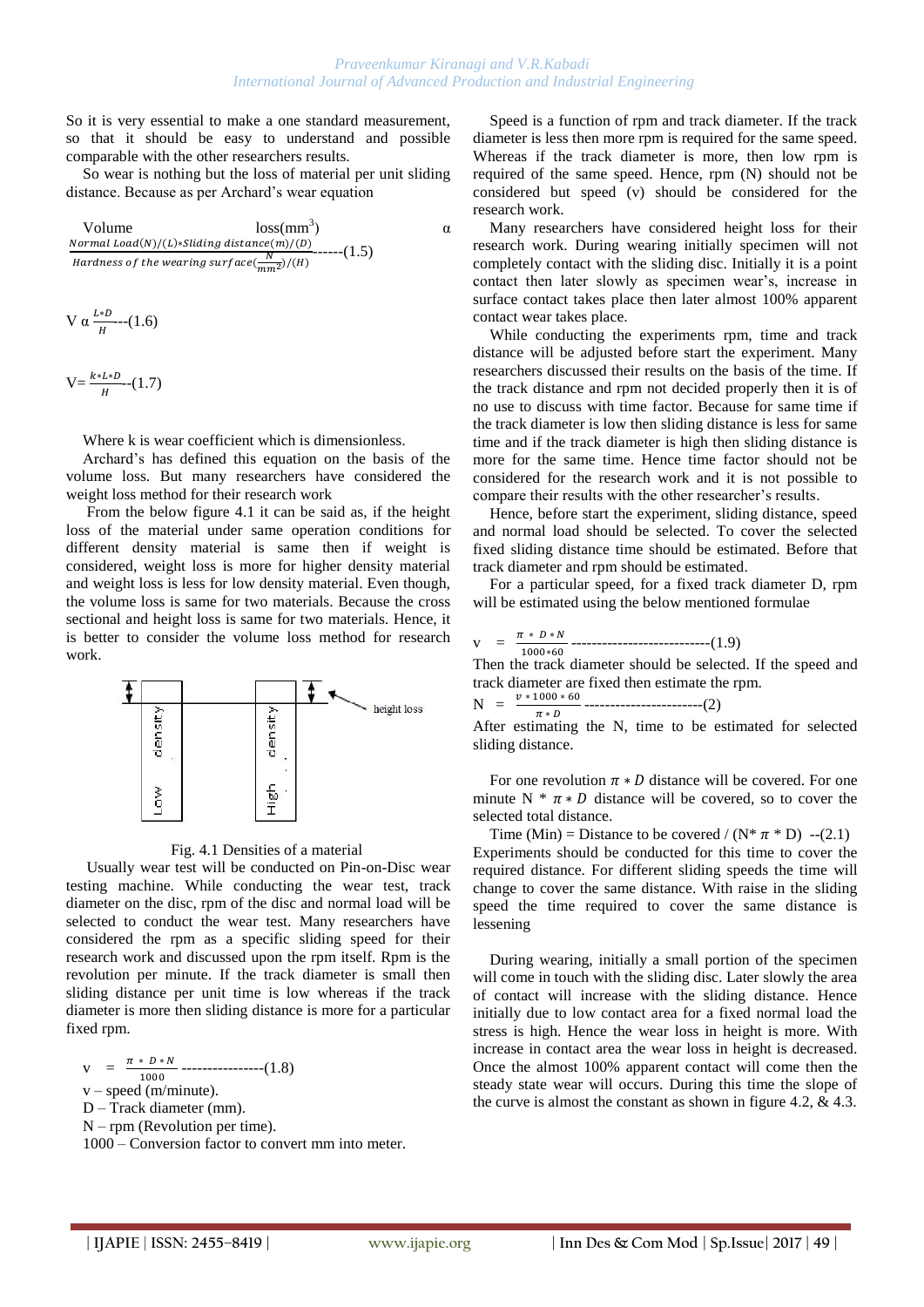So it is very essential to make a one standard measurement, so that it should be easy to understand and possible comparable with the other researchers results.

So wear is nothing but the loss of material per unit sliding distance. Because as per Archard"s wear equation

Volume loss(mm<sup>3</sup>) 
$$
\alpha
$$
  
*Normal Load(N)/(L)\*Sliding distance(m)/(D)*  
Hardness of the wearing surface( $\frac{N}{mn^2}$ )/(H) (1.5)

$$
V\,\alpha\,\frac{L*D}{H}\text{---}(1.6)
$$

$$
V = \frac{k * L * D}{H} - (1.7)
$$

Where k is wear coefficient which is dimensionless.

Archard"s has defined this equation on the basis of the volume loss. But many researchers have considered the weight loss method for their research work

From the below figure 4.1 it can be said as, if the height loss of the material under same operation conditions for different density material is same then if weight is considered, weight loss is more for higher density material and weight loss is less for low density material. Even though, the volume loss is same for two materials. Because the cross sectional and height loss is same for two materials. Hence, it is better to consider the volume loss method for research work.



## Fig. 4.1 Densities of a material

Usually wear test will be conducted on Pin-on-Disc wear testing machine. While conducting the wear test, track diameter on the disc, rpm of the disc and normal load will be selected to conduct the wear test. Many researchers have considered the rpm as a specific sliding speed for their research work and discussed upon the rpm itself. Rpm is the revolution per minute. If the track diameter is small then sliding distance per unit time is low whereas if the track diameter is more then sliding distance is more for a particular fixed rpm.

$$
V = \frac{\pi * D * N}{1000} \dots (1.8)
$$

 $v$  – speed (m/minute).

$$
D - \text{Track diameter (mm)}
$$
.

N – rpm (Revolution per time).

1000 – Conversion factor to convert mm into meter.

Speed is a function of rpm and track diameter. If the track diameter is less then more rpm is required for the same speed. Whereas if the track diameter is more, then low rpm is required of the same speed. Hence, rpm (N) should not be considered but speed (v) should be considered for the research work.

Many researchers have considered height loss for their research work. During wearing initially specimen will not completely contact with the sliding disc. Initially it is a point contact then later slowly as specimen wear"s, increase in surface contact takes place then later almost 100% apparent contact wear takes place.

While conducting the experiments rpm, time and track distance will be adjusted before start the experiment. Many researchers discussed their results on the basis of the time. If the track distance and rpm not decided properly then it is of no use to discuss with time factor. Because for same time if the track diameter is low then sliding distance is less for same time and if the track diameter is high then sliding distance is more for the same time. Hence time factor should not be considered for the research work and it is not possible to compare their results with the other researcher"s results.

Hence, before start the experiment, sliding distance, speed and normal load should be selected. To cover the selected fixed sliding distance time should be estimated. Before that track diameter and rpm should be estimated.

For a particular speed, for a fixed track diameter D, rpm will be estimated using the below mentioned formulae

v = ---------------------------(1.9)

Then the track diameter should be selected. If the speed and track diameter are fixed then estimate the rpm.

N = -----------------------(2)

 $\pi * D$ <br>After estimating the N, time to be estimated for selected sliding distance.

For one revolution  $\pi * D$  distance will be covered. For one minute N  $* \pi * D$  distance will be covered, so to cover the selected total distance.

Time (Min) = Distance to be covered /  $(N^* \pi^* D)$  --(2.1) Experiments should be conducted for this time to cover the required distance. For different sliding speeds the time will change to cover the same distance. With raise in the sliding speed the time required to cover the same distance is lessening

During wearing, initially a small portion of the specimen will come in touch with the sliding disc. Later slowly the area of contact will increase with the sliding distance. Hence initially due to low contact area for a fixed normal load the stress is high. Hence the wear loss in height is more. With increase in contact area the wear loss in height is decreased. Once the almost 100% apparent contact will come then the steady state wear will occurs. During this time the slope of the curve is almost the constant as shown in figure 4.2, & 4.3.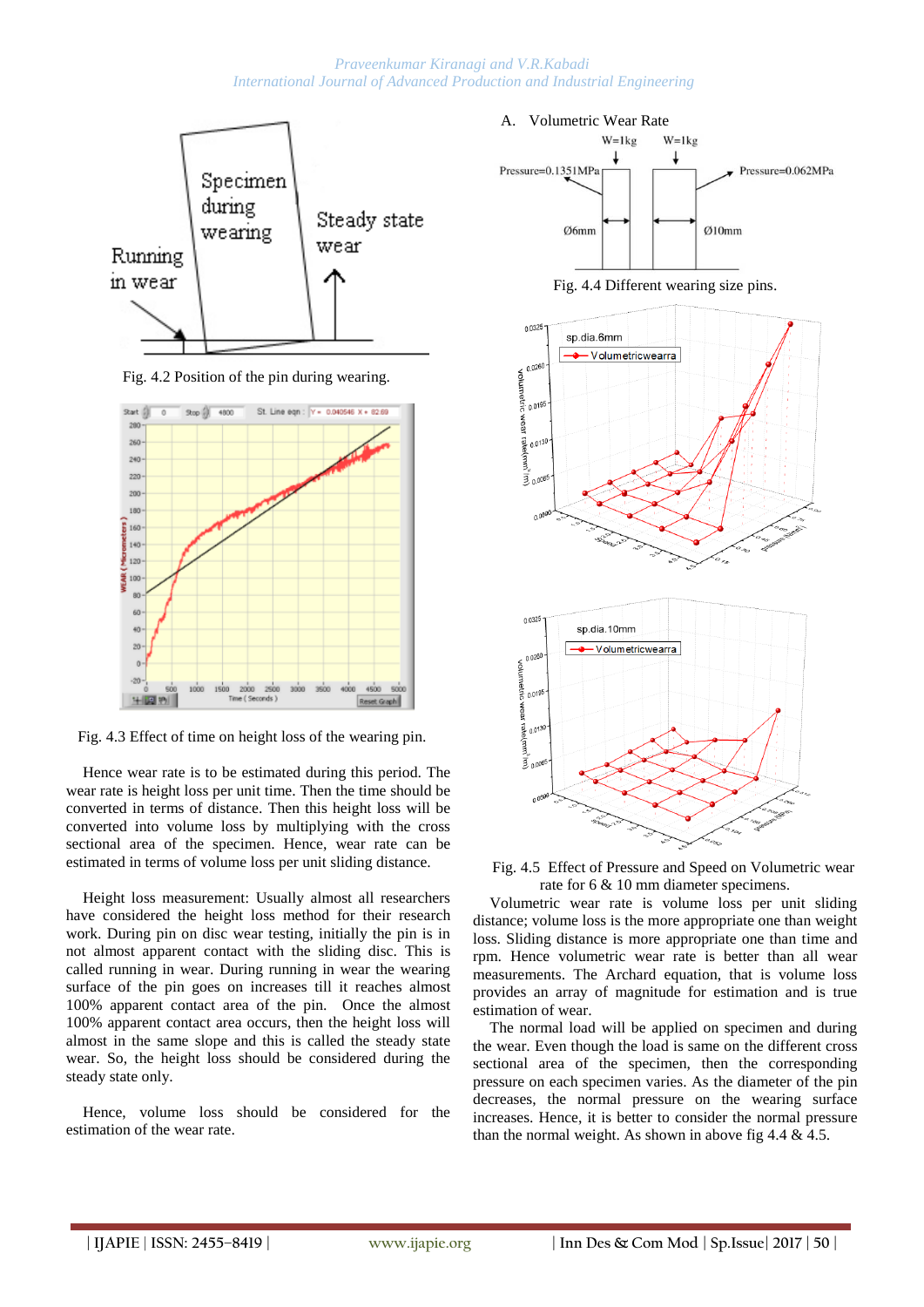

Fig. 4.2 Position of the pin during wearing.



Fig. 4.3 Effect of time on height loss of the wearing pin.

Hence wear rate is to be estimated during this period. The wear rate is height loss per unit time. Then the time should be converted in terms of distance. Then this height loss will be converted into volume loss by multiplying with the cross sectional area of the specimen. Hence, wear rate can be estimated in terms of volume loss per unit sliding distance.

Height loss measurement: Usually almost all researchers have considered the height loss method for their research work. During pin on disc wear testing, initially the pin is in not almost apparent contact with the sliding disc. This is called running in wear. During running in wear the wearing surface of the pin goes on increases till it reaches almost 100% apparent contact area of the pin. Once the almost 100% apparent contact area occurs, then the height loss will almost in the same slope and this is called the steady state wear. So, the height loss should be considered during the steady state only.

Hence, volume loss should be considered for the estimation of the wear rate.

### A. Volumetric Wear Rate



Fig. 4.4 Different wearing size pins.



Fig. 4.5 Effect of Pressure and Speed on Volumetric wear rate for 6 & 10 mm diameter specimens.

Volumetric wear rate is volume loss per unit sliding distance; volume loss is the more appropriate one than weight loss. Sliding distance is more appropriate one than time and rpm. Hence volumetric wear rate is better than all wear measurements. The Archard equation, that is volume loss provides an array of magnitude for estimation and is true estimation of wear.

The normal load will be applied on specimen and during the wear. Even though the load is same on the different cross sectional area of the specimen, then the corresponding pressure on each specimen varies. As the diameter of the pin decreases, the normal pressure on the wearing surface increases. Hence, it is better to consider the normal pressure than the normal weight. As shown in above fig  $4.4 \& 4.5$ .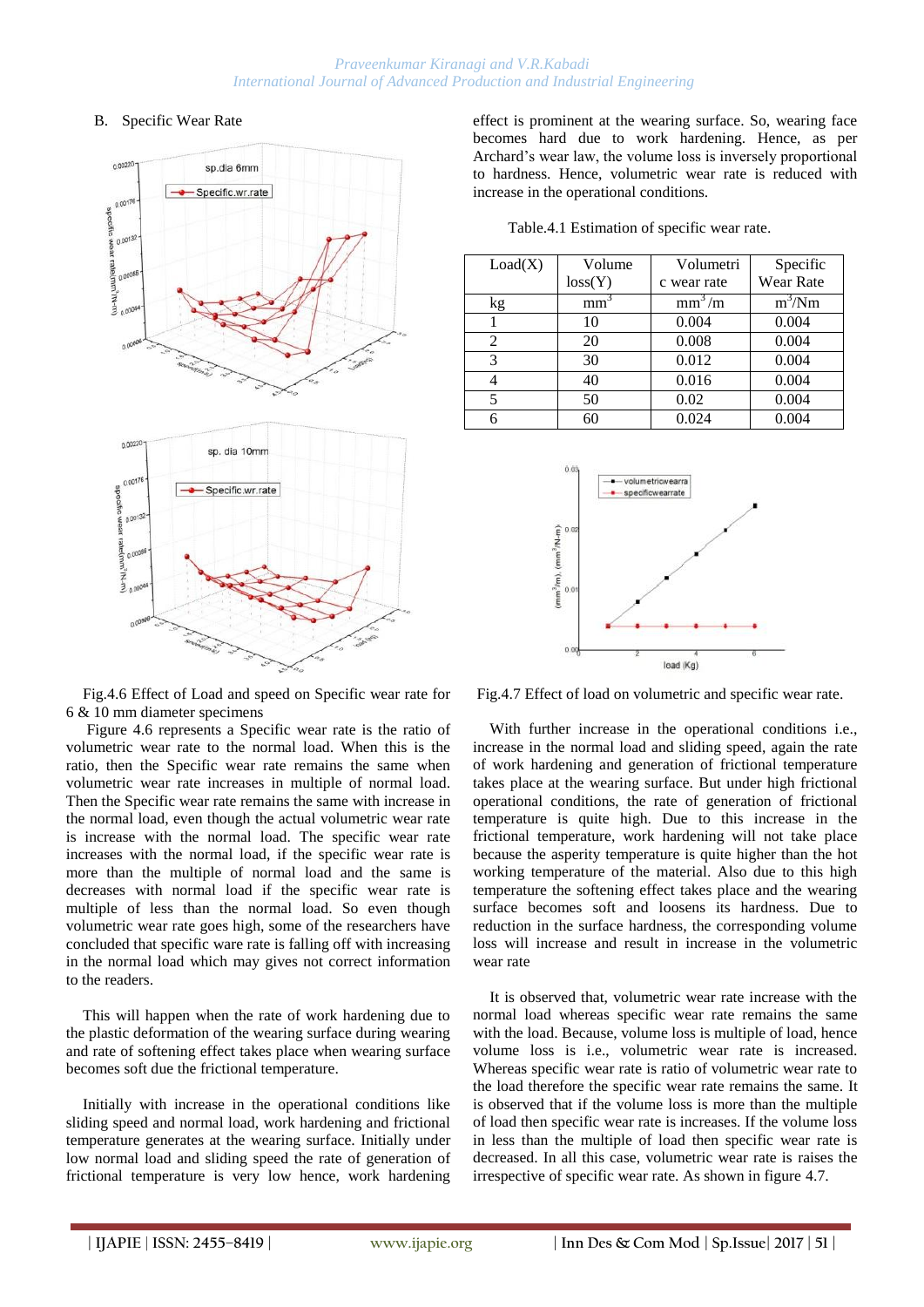# B. Specific Wear Rate



effect is prominent at the wearing surface. So, wearing face becomes hard due to work hardening. Hence, as per Archard"s wear law, the volume loss is inversely proportional to hardness. Hence, volumetric wear rate is reduced with increase in the operational conditions.

| Load(X)        | Volume  | Volumetri   | Specific         |
|----------------|---------|-------------|------------------|
|                | loss(Y) | c wear rate | <b>Wear Rate</b> |
| kg             | mm      | $mm^3/m$    | $m^3/Nm$         |
|                | 10      | 0.004       | 0.004            |
| $\mathfrak{D}$ | 20      | 0.008       | 0.004            |
| 3              | 30      | 0.012       | 0.004            |
|                | 40      | 0.016       | 0.004            |
|                | 50      | 0.02        | 0.004            |
|                | 60      | 0.024       | 0.004            |

Table.4.1 Estimation of specific wear rate.



Fig.4.6 Effect of Load and speed on Specific wear rate for 6 & 10 mm diameter specimens

Figure 4.6 represents a Specific wear rate is the ratio of volumetric wear rate to the normal load. When this is the ratio, then the Specific wear rate remains the same when volumetric wear rate increases in multiple of normal load. Then the Specific wear rate remains the same with increase in the normal load, even though the actual volumetric wear rate is increase with the normal load. The specific wear rate increases with the normal load, if the specific wear rate is more than the multiple of normal load and the same is decreases with normal load if the specific wear rate is multiple of less than the normal load. So even though volumetric wear rate goes high, some of the researchers have concluded that specific ware rate is falling off with increasing in the normal load which may gives not correct information to the readers.

This will happen when the rate of work hardening due to the plastic deformation of the wearing surface during wearing and rate of softening effect takes place when wearing surface becomes soft due the frictional temperature.

Initially with increase in the operational conditions like sliding speed and normal load, work hardening and frictional temperature generates at the wearing surface. Initially under low normal load and sliding speed the rate of generation of frictional temperature is very low hence, work hardening Fig.4.7 Effect of load on volumetric and specific wear rate.

With further increase in the operational conditions i.e., increase in the normal load and sliding speed, again the rate of work hardening and generation of frictional temperature takes place at the wearing surface. But under high frictional operational conditions, the rate of generation of frictional temperature is quite high. Due to this increase in the frictional temperature, work hardening will not take place because the asperity temperature is quite higher than the hot working temperature of the material. Also due to this high temperature the softening effect takes place and the wearing surface becomes soft and loosens its hardness. Due to reduction in the surface hardness, the corresponding volume loss will increase and result in increase in the volumetric wear rate

It is observed that, volumetric wear rate increase with the normal load whereas specific wear rate remains the same with the load. Because, volume loss is multiple of load, hence volume loss is i.e., volumetric wear rate is increased. Whereas specific wear rate is ratio of volumetric wear rate to the load therefore the specific wear rate remains the same. It is observed that if the volume loss is more than the multiple of load then specific wear rate is increases. If the volume loss in less than the multiple of load then specific wear rate is decreased. In all this case, volumetric wear rate is raises the irrespective of specific wear rate. As shown in figure 4.7.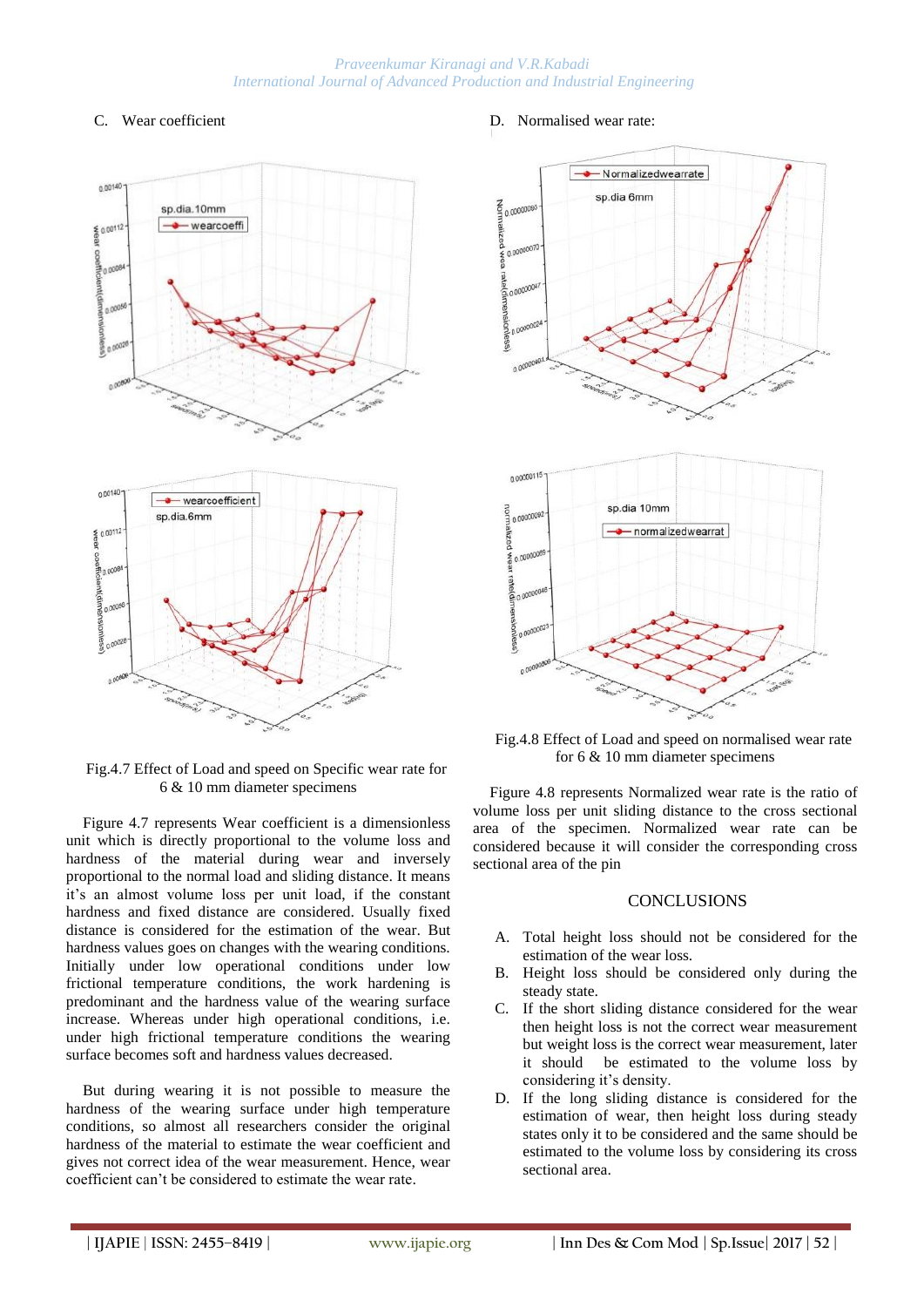### C. Wear coefficient



Fig.4.7 Effect of Load and speed on Specific wear rate for 6 & 10 mm diameter specimens

Figure 4.7 represents Wear coefficient is a dimensionless unit which is directly proportional to the volume loss and hardness of the material during wear and inversely proportional to the normal load and sliding distance. It means it"s an almost volume loss per unit load, if the constant hardness and fixed distance are considered. Usually fixed distance is considered for the estimation of the wear. But hardness values goes on changes with the wearing conditions. Initially under low operational conditions under low frictional temperature conditions, the work hardening is predominant and the hardness value of the wearing surface increase. Whereas under high operational conditions, i.e. under high frictional temperature conditions the wearing surface becomes soft and hardness values decreased.

But during wearing it is not possible to measure the hardness of the wearing surface under high temperature conditions, so almost all researchers consider the original hardness of the material to estimate the wear coefficient and gives not correct idea of the wear measurement. Hence, wear coefficient can"t be considered to estimate the wear rate.

#### D. Normalised wear rate:



Fig.4.8 Effect of Load and speed on normalised wear rate for 6 & 10 mm diameter specimens

Figure 4.8 represents Normalized wear rate is the ratio of volume loss per unit sliding distance to the cross sectional area of the specimen. Normalized wear rate can be considered because it will consider the corresponding cross sectional area of the pin

#### **CONCLUSIONS**

- A. Total height loss should not be considered for the estimation of the wear loss.
- B. Height loss should be considered only during the steady state.
- C. If the short sliding distance considered for the wear then height loss is not the correct wear measurement but weight loss is the correct wear measurement, later it should be estimated to the volume loss by considering it's density.
- D. If the long sliding distance is considered for the estimation of wear, then height loss during steady states only it to be considered and the same should be estimated to the volume loss by considering its cross sectional area.